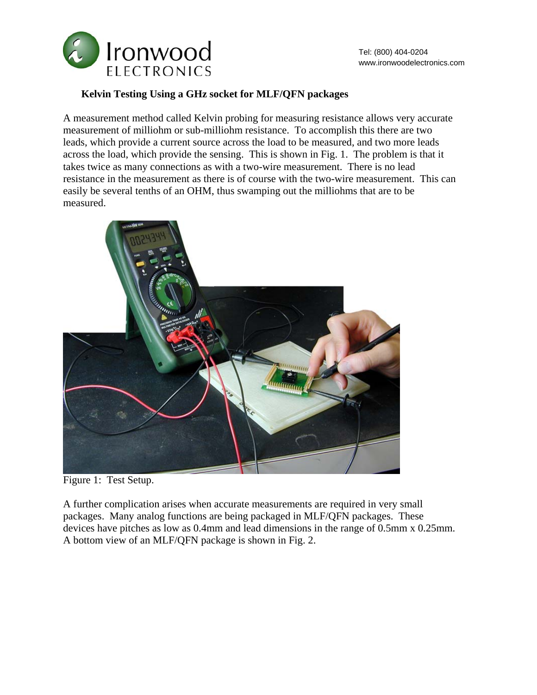

## **Kelvin Testing Using a GHz socket for MLF/QFN packages**

A measurement method called Kelvin probing for measuring resistance allows very accurate measurement of milliohm or sub-milliohm resistance. To accomplish this there are two leads, which provide a current source across the load to be measured, and two more leads across the load, which provide the sensing. This is shown in Fig. 1. The problem is that it takes twice as many connections as with a two-wire measurement. There is no lead resistance in the measurement as there is of course with the two-wire measurement. This can easily be several tenths of an OHM, thus swamping out the milliohms that are to be measured.



Figure 1: Test Setup.

A further complication arises when accurate measurements are required in very small packages. Many analog functions are being packaged in MLF/QFN packages. These devices have pitches as low as 0.4mm and lead dimensions in the range of 0.5mm x 0.25mm. A bottom view of an MLF/QFN package is shown in Fig. 2.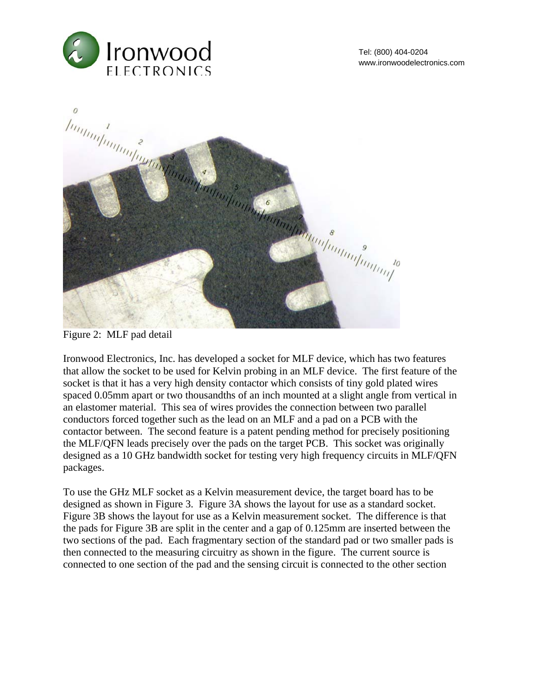



Figure 2: MLF pad detail

Ironwood Electronics, Inc. has developed a socket for MLF device, which has two features that allow the socket to be used for Kelvin probing in an MLF device. The first feature of the socket is that it has a very high density contactor which consists of tiny gold plated wires spaced 0.05mm apart or two thousandths of an inch mounted at a slight angle from vertical in an elastomer material. This sea of wires provides the connection between two parallel conductors forced together such as the lead on an MLF and a pad on a PCB with the contactor between. The second feature is a patent pending method for precisely positioning the MLF/QFN leads precisely over the pads on the target PCB. This socket was originally designed as a 10 GHz bandwidth socket for testing very high frequency circuits in MLF/QFN packages.

To use the GHz MLF socket as a Kelvin measurement device, the target board has to be designed as shown in Figure 3. Figure 3A shows the layout for use as a standard socket. Figure 3B shows the layout for use as a Kelvin measurement socket. The difference is that the pads for Figure 3B are split in the center and a gap of 0.125mm are inserted between the two sections of the pad. Each fragmentary section of the standard pad or two smaller pads is then connected to the measuring circuitry as shown in the figure. The current source is connected to one section of the pad and the sensing circuit is connected to the other section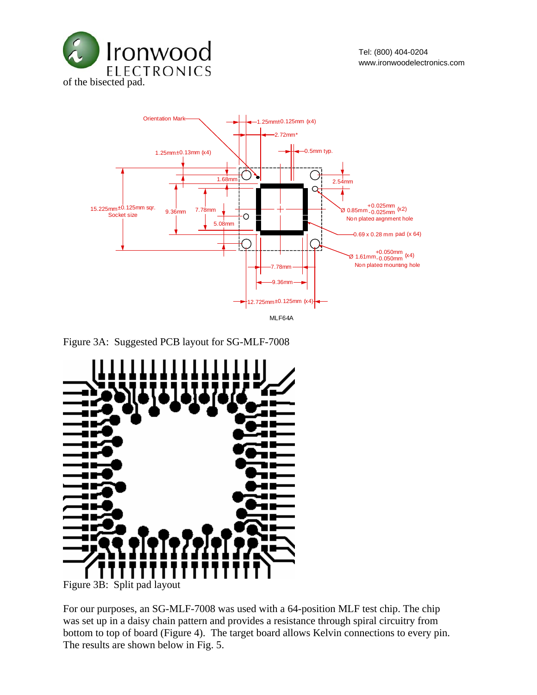



Figure 3A: Suggested PCB layout for SG-MLF-7008



For our purposes, an SG-MLF-7008 was used with a 64-position MLF test chip. The chip was set up in a daisy chain pattern and provides a resistance through spiral circuitry from bottom to top of board (Figure 4). The target board allows Kelvin connections to every pin. The results are shown below in Fig. 5.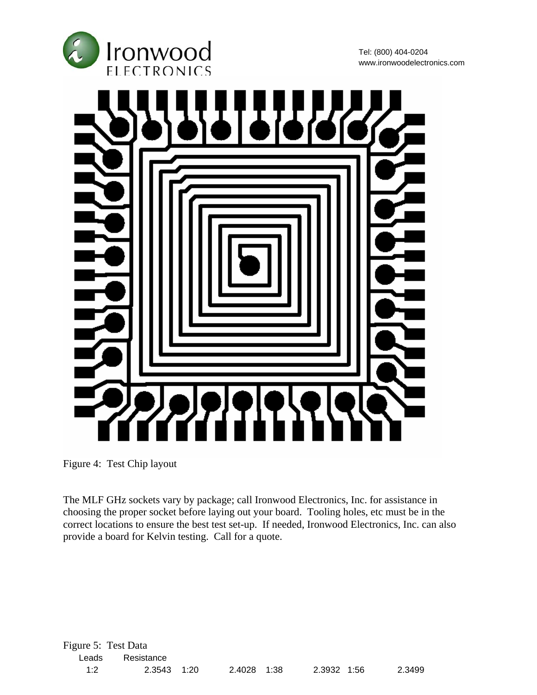

Tel: (800) 404-0204 www.ironwoodelectronics.com



Figure 4: Test Chip layout

The MLF GHz sockets vary by package; call Ironwood Electronics, Inc. for assistance in choosing the proper socket before laying out your board. Tooling holes, etc must be in the correct locations to ensure the best test set-up. If needed, Ironwood Electronics, Inc. can also provide a board for Kelvin testing. Call for a quote.

Figure 5: Test Data Leads Resistance 1:2 2.3543 1:20 2.4028 1:38 2.3932 1:56 2.3499